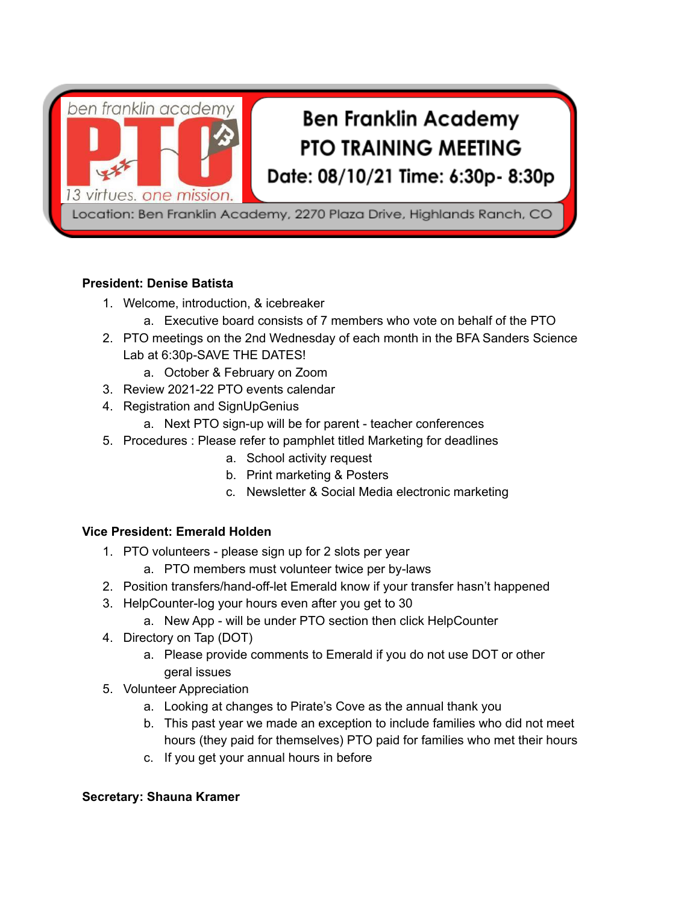

## **President: Denise Batista**

- 1. Welcome, introduction, & icebreaker
	- a. Executive board consists of 7 members who vote on behalf of the PTO
- 2. PTO meetings on the 2nd Wednesday of each month in the BFA Sanders Science Lab at 6:30p-SAVE THE DATES!
	- a. October & February on Zoom
- 3. Review 2021-22 PTO events calendar
- 4. Registration and SignUpGenius
	- a. Next PTO sign-up will be for parent teacher conferences
- 5. Procedures : Please refer to pamphlet titled Marketing for deadlines
	- a. School activity request
	- b. Print marketing & Posters
	- c. Newsletter & Social Media electronic marketing

# **Vice President: Emerald Holden**

- 1. PTO volunteers please sign up for 2 slots per year
	- a. PTO members must volunteer twice per by-laws
- 2. Position transfers/hand-off-let Emerald know if your transfer hasn't happened
- 3. HelpCounter-log your hours even after you get to 30
	- a. New App will be under PTO section then click HelpCounter
- 4. Directory on Tap (DOT)
	- a. Please provide comments to Emerald if you do not use DOT or other geral issues
- 5. Volunteer Appreciation
	- a. Looking at changes to Pirate's Cove as the annual thank you
	- b. This past year we made an exception to include families who did not meet hours (they paid for themselves) PTO paid for families who met their hours
	- c. If you get your annual hours in before

#### **Secretary: Shauna Kramer**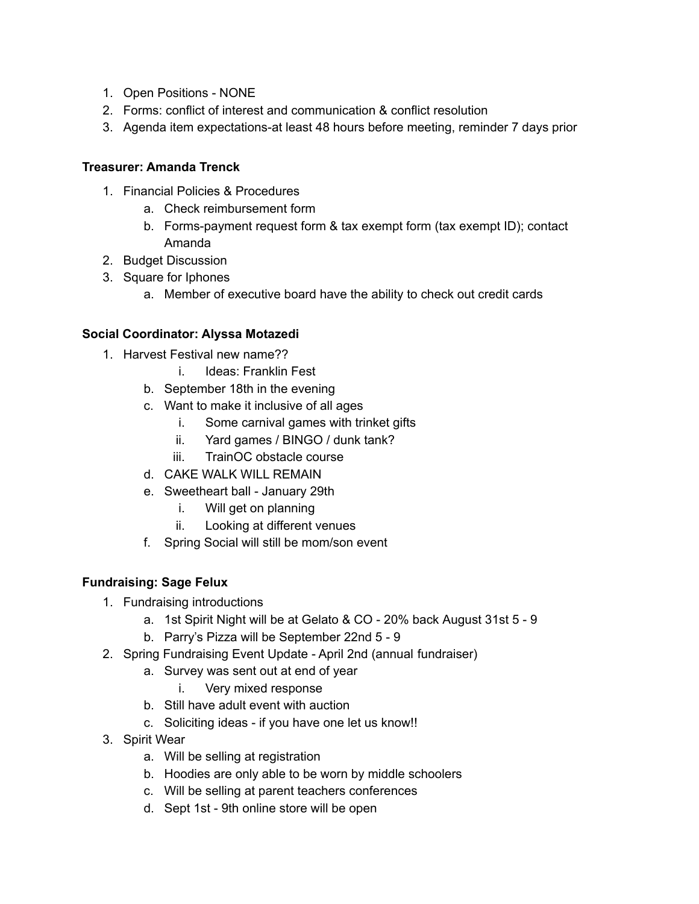- 1. Open Positions NONE
- 2. Forms: conflict of interest and communication & conflict resolution
- 3. Agenda item expectations-at least 48 hours before meeting, reminder 7 days prior

#### **Treasurer: Amanda Trenck**

- 1. Financial Policies & Procedures
	- a. Check reimbursement form
	- b. Forms-payment request form & tax exempt form (tax exempt ID); contact Amanda
- 2. Budget Discussion
- 3. Square for Iphones
	- a. Member of executive board have the ability to check out credit cards

## **Social Coordinator: Alyssa Motazedi**

- 1. Harvest Festival new name??
	- i. Ideas: Franklin Fest
	- b. September 18th in the evening
	- c. Want to make it inclusive of all ages
		- i. Some carnival games with trinket gifts
		- ii. Yard games / BINGO / dunk tank?
		- iii. TrainOC obstacle course
	- d. CAKE WALK WILL REMAIN
	- e. Sweetheart ball January 29th
		- i. Will get on planning
		- ii. Looking at different venues
	- f. Spring Social will still be mom/son event

# **Fundraising: Sage Felux**

- 1. Fundraising introductions
	- a. 1st Spirit Night will be at Gelato & CO 20% back August 31st 5 9
	- b. Parry's Pizza will be September 22nd 5 9
- 2. Spring Fundraising Event Update April 2nd (annual fundraiser)
	- a. Survey was sent out at end of year
		- i. Very mixed response
	- b. Still have adult event with auction
	- c. Soliciting ideas if you have one let us know!!
- 3. Spirit Wear
	- a. Will be selling at registration
	- b. Hoodies are only able to be worn by middle schoolers
	- c. Will be selling at parent teachers conferences
	- d. Sept 1st 9th online store will be open